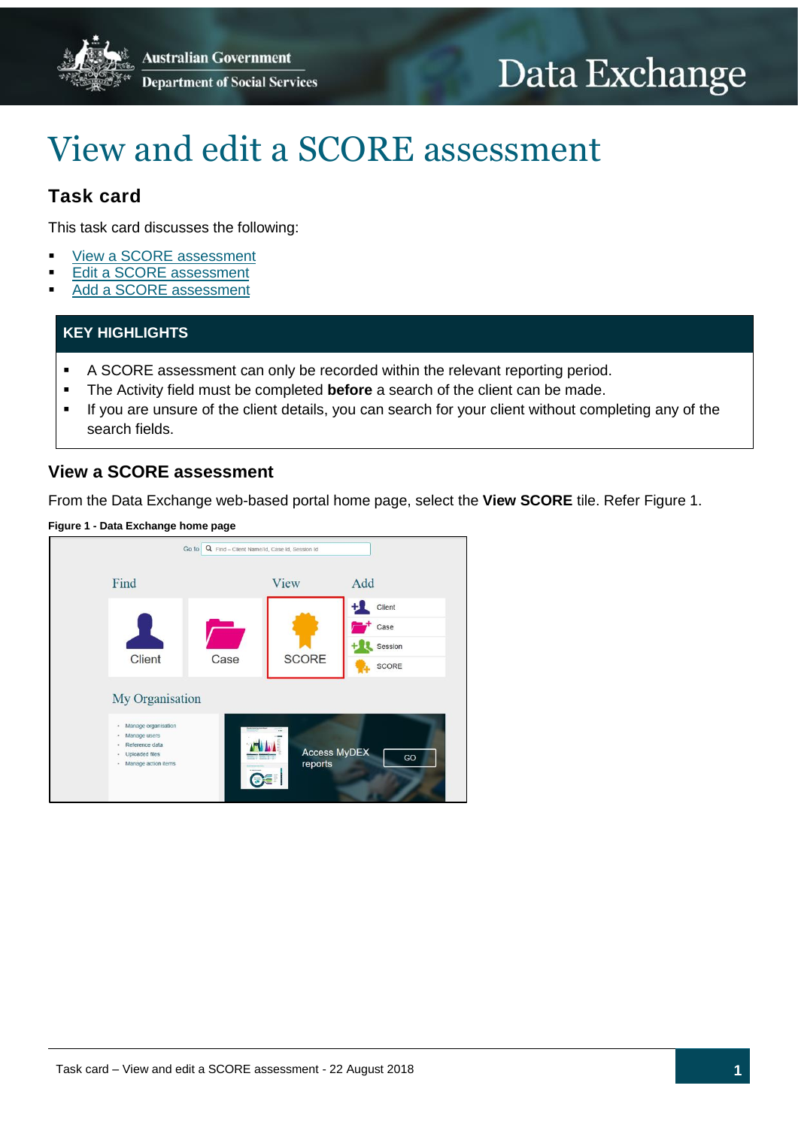**Australian Government Department of Social Services** 

# Data Exchange

## View and edit a SCORE assessment

## **Task card**

This task card discusses the following:

- View a SCORE [assessment](#page-0-0)
- Edit [a SCORE assessment](#page-5-0)
- Add [a SCORE assessment](#page-7-0)

## **KEY HIGHLIGHTS**

- A SCORE assessment can only be recorded within the relevant reporting period.
- The Activity field must be completed **before** a search of the client can be made.
- If you are unsure of the client details, you can search for your client without completing any of the search fields.

## <span id="page-0-0"></span>**View a SCORE assessment**

From the Data Exchange web-based portal home page, select the **View SCORE** tile. Refer Figure 1.

#### **Figure 1 - Data Exchange home page**

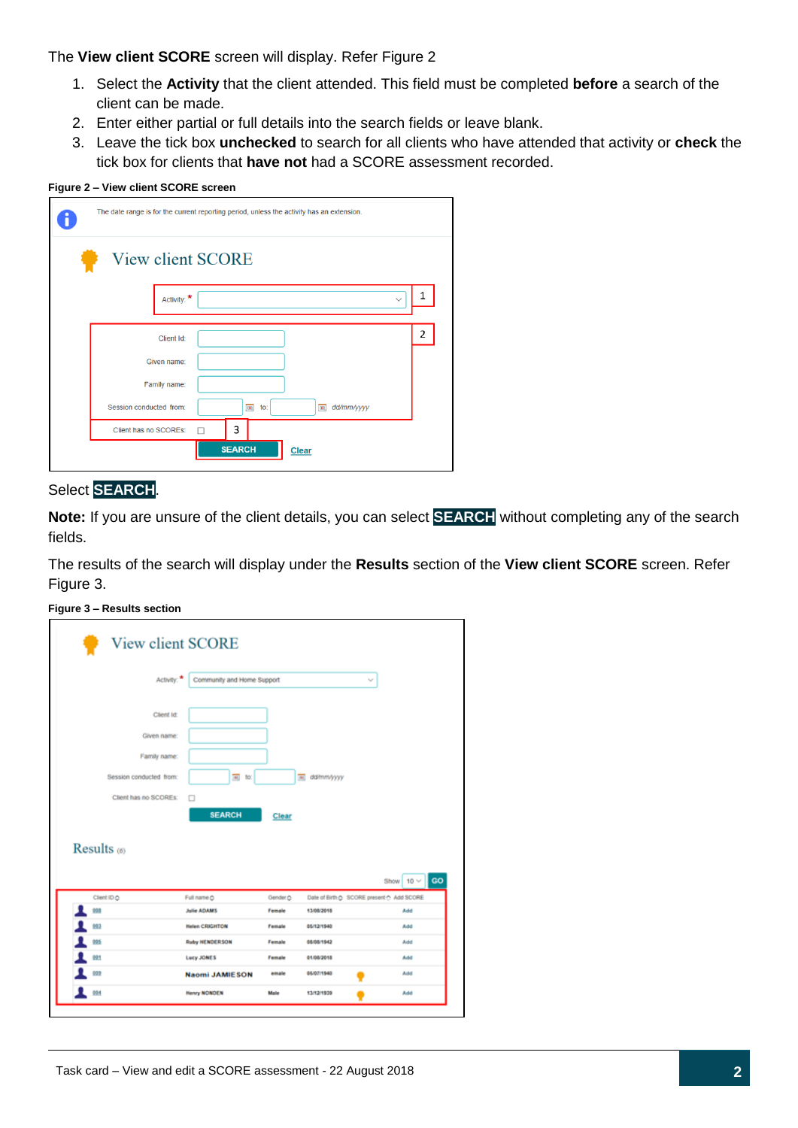The **View client SCORE** screen will display. Refer Figure 2

- 1. Select the **Activity** that the client attended. This field must be completed **before** a search of the client can be made.
- 2. Enter either partial or full details into the search fields or leave blank.
- 3. Leave the tick box **unchecked** to search for all clients who have attended that activity or **check** the tick box for clients that **have not** had a SCORE assessment recorded.

#### **Figure 2 – View client SCORE screen**

|                         | The date range is for the current reporting period, unless the activity has an extension. |   |
|-------------------------|-------------------------------------------------------------------------------------------|---|
| View client SCORE       |                                                                                           |   |
| Activity: *             | $\checkmark$                                                                              | 1 |
| Client Id:              |                                                                                           | 2 |
| Given name:             |                                                                                           |   |
| Family name:            |                                                                                           |   |
| Session conducted from: | 画<br>圓<br>dd/mm/yyyy<br>to:                                                               |   |
| Client has no SCOREs:   | 3                                                                                         |   |
|                         | <b>SEARCH</b><br><b>Clear</b>                                                             |   |

#### Select **SEARCH**.

**Note:** If you are unsure of the client details, you can select **SEARCH** without completing any of the search fields.

The results of the search will display under the **Results** section of the **View client SCORE** screen. Refer Figure 3.

**Figure 3 – Results section**

| Activity:               | Community and Home Support |          |                 | $\gamma_{\rm eff}$                        |
|-------------------------|----------------------------|----------|-----------------|-------------------------------------------|
|                         |                            |          |                 |                                           |
| Client Id:              |                            |          |                 |                                           |
| Given name:             |                            |          |                 |                                           |
| Family name:            |                            |          |                 |                                           |
| Session conducted from: | $\overline{m}$ to:         |          | dd/mm/yyyy<br>π |                                           |
| Client has no SCOREs:   | □                          |          |                 |                                           |
|                         |                            |          |                 |                                           |
|                         |                            |          |                 |                                           |
|                         | <b>SEARCH</b>              | Clear    |                 |                                           |
|                         |                            |          |                 |                                           |
|                         |                            |          |                 |                                           |
| Results (6)             |                            |          |                 |                                           |
|                         |                            |          |                 |                                           |
|                         |                            |          |                 | Show $10 \vee$                            |
| Client ID O             | Full name O                | Gender O |                 | Date of Birth @ SCORE present @ Add SCORE |
| 998                     | Julie ADAMS                | Female   | 13/08/2018      | Add                                       |
| 993                     | <b>Helen CRIGHTON</b>      | Female   | 05/12/1940      | Add                                       |
| 005                     | <b>Ruby HENDERSON</b>      | Female   | 08/08/1942      | Add                                       |
| 001                     | <b>Lucy JONES</b>          | Female   | 01/08/2018      | Add                                       |
| 009                     | <b>Naomi JAMIESON</b>      | emale    | 05/07/1940      | Add                                       |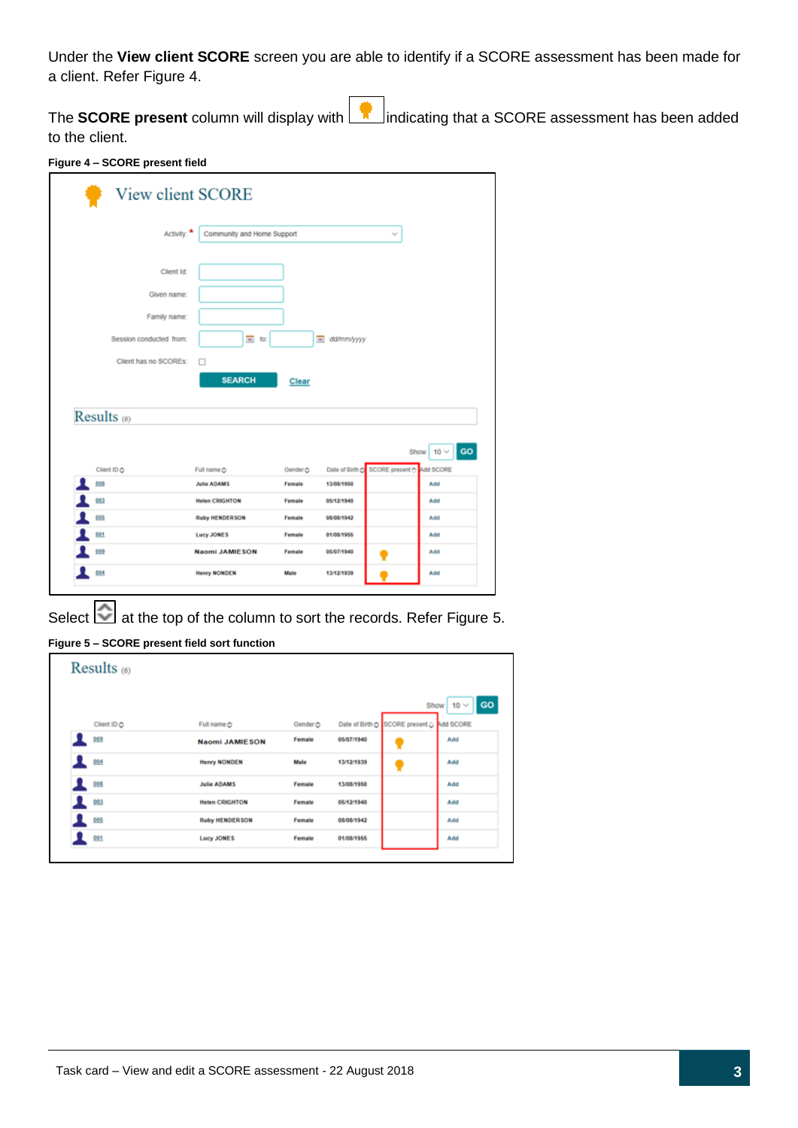Under the **View client SCORE** screen you are able to identify if a SCORE assessment has been made for a client. Refer Figure 4.

The **SCORE present** column will display with indicating that a SCORE assessment has been added to the client.

|                         | View client SCORE                         |                    |              |                                                  |
|-------------------------|-------------------------------------------|--------------------|--------------|--------------------------------------------------|
|                         | Activity:<br>Community and Home Support   |                    |              | $\sim$                                           |
|                         | Client Id:                                |                    |              |                                                  |
|                         | Given name:                               |                    |              |                                                  |
|                         | Family name:                              |                    |              |                                                  |
| Session conducted from: | $\equiv$ to:                              |                    | a dd/mm/yyyy |                                                  |
| Client has no SCOREs:   |                                           |                    |              |                                                  |
| Results (6)             | <b>SEARCH</b>                             | Clear              |              |                                                  |
|                         |                                           |                    |              |                                                  |
|                         |                                           |                    |              | GO<br>Show $10 \vee$                             |
| Client ID ☆             | Full name $\hat{C}$<br><b>Julie ADAMS</b> | Gender &<br>Female | 13/08/1950   | Date of Birth C SCORE present C Add SCORE<br>Add |
| 999<br>003              | <b>Helen CRIGHTON</b>                     | Female             | 05/12/1940   | Add                                              |
| 005                     | <b>Ruby HENDERSON</b>                     | Female             | 08/08/1942   | Add                                              |
| 001                     | <b>Lucy JONES</b>                         | Female             | 01/08/1955   | Add                                              |
| 009                     | <b>Naomi JAMIESON</b>                     | Female             | 05/07/1940   | Add                                              |

Select  $\Box$  at the top of the column to sort the records. Refer Figure 5.

| Results $(6)$ |                       |          |            |                                           |                         |
|---------------|-----------------------|----------|------------|-------------------------------------------|-------------------------|
|               |                       |          |            |                                           | GO<br>$10 \vee$<br>Show |
| Client ID &   | Full name $\hat{C}$   | Gender & |            | Date of Birth & SCORE present & Add SCORE |                         |
| 009           | <b>Naomi JAMIESON</b> | Female   | 05/07/1940 |                                           | Add                     |
| 004           | <b>Henry NONDEN</b>   | Male     | 13/12/1939 |                                           | Add                     |
| 008           | <b>Julie ADAMS</b>    | Female   | 13/08/1950 |                                           | Add                     |
| 003           | <b>Helen CRIGHTON</b> | Female   | 05/12/1940 |                                           | Add                     |
| 005           | <b>Ruby HENDERSON</b> | Female   | 08/08/1942 |                                           | Add                     |
| 991           | <b>Lucy JONES</b>     | Female   | 01/08/1955 |                                           | Add                     |

**Figure 5 – SCORE present field sort function**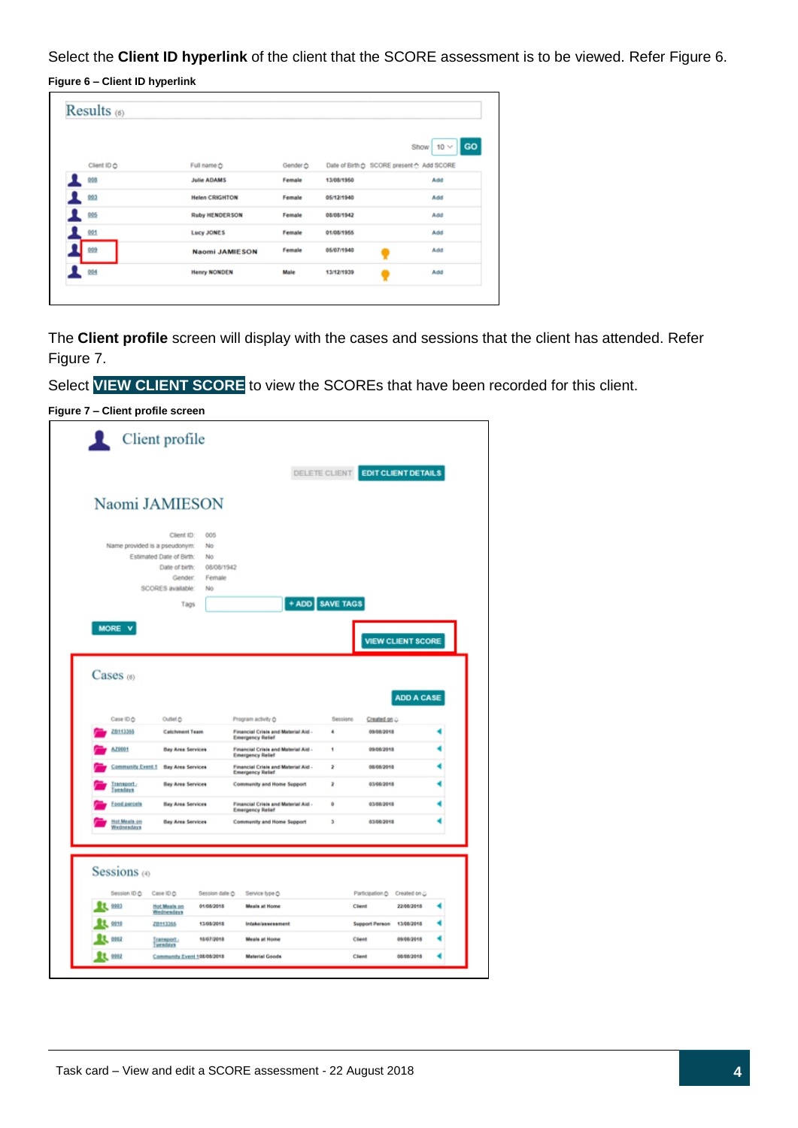Select the **Client ID hyperlink** of the client that the SCORE assessment is to be viewed. Refer Figure 6.

**Figure 6 – Client ID hyperlink**

|               |                       |          |                                           | <b>GO</b><br>$10 \vee$<br>Show |
|---------------|-----------------------|----------|-------------------------------------------|--------------------------------|
| Client ID<br> | Full name $\hat{C}$   | Gender ☆ | Date of Birth & SCORE present & Add SCORE |                                |
| 008           | <b>Julie ADAMS</b>    | Female   | 13/08/1950                                | Add                            |
| 003           | <b>Helen CRIGHTON</b> | Female   | 05/12/1940                                | Add                            |
| 005           | <b>Ruby HENDERSON</b> | Female   | 08/08/1942                                | Add                            |
| 1001          | <b>Lucy JONES</b>     | Female   | 01/08/1955                                | Add                            |
| 009           | <b>Naomi JAMIESON</b> | Female   | 05/07/1940                                | Add                            |
| 004           | <b>Henry NONDEN</b>   | Male     | 13/12/1939                                | Add                            |

The **Client profile** screen will display with the cases and sessions that the client has attended. Refer Figure 7.

Select **VIEW CLIENT SCORE** to view the SCOREs that have been recorded for this client.

| ı.                         | Client profile                              |                              |                                                                                           |                 |                                   |                                              |
|----------------------------|---------------------------------------------|------------------------------|-------------------------------------------------------------------------------------------|-----------------|-----------------------------------|----------------------------------------------|
|                            |                                             |                              |                                                                                           |                 | DELETE CLIENT EDIT CLIENT DETAILS |                                              |
|                            | Naomi JAMIESON                              |                              |                                                                                           |                 |                                   |                                              |
|                            | Client ID:<br>Name provided is a pseudonym: | 005<br>No                    |                                                                                           |                 |                                   |                                              |
|                            | Estimated Date of Birth:<br>Date of birth:  | No<br>08/08/1942             |                                                                                           |                 |                                   |                                              |
|                            | Gender:<br>SCORES available:                | Female<br>N <sub>0</sub>     |                                                                                           |                 |                                   |                                              |
|                            | Tags                                        |                              |                                                                                           | + ADD SAVE TAGS |                                   |                                              |
| MORE V                     |                                             |                              |                                                                                           |                 |                                   |                                              |
|                            |                                             |                              |                                                                                           |                 | <b>VIEW CLIENT SCORE</b>          |                                              |
| $\text{Cases}$ (6)         |                                             |                              |                                                                                           |                 |                                   | <b>ADD A CASE</b>                            |
| Case ID O<br>20113365      | Outlet O<br><b>Catchment Team</b>           |                              | Program activity O<br>Financial Crisis and Material Aid -                                 | Sessions<br>4   | Created on O<br>09/08/2018        |                                              |
| AZ0001                     | <b>Bay Area Services</b>                    |                              | <b>Emergency Relief</b><br>Financial Crisis and Material Aid -<br><b>Emergency Relief</b> | 4               | 09/08/2018                        |                                              |
| Community Event 1          | <b>Bay Area Services</b>                    |                              | Financial Crisis and Material Aid -<br><b>Emergency Relief</b>                            | 2               | 05/05/2018                        |                                              |
| Transport.<br>Tuesdays     | <b>Bay Area Services</b>                    |                              | Community and Home Support                                                                | ż               | 03/08/2018                        |                                              |
| Food parcels               | <b>Bay Area Services</b>                    |                              | Financial Crisis and Material Aid -<br><b>Emergency Relief</b>                            | o               | 03/08/2018                        |                                              |
| Hot Meals on<br>Wednesdays | <b>Bay Area Services</b>                    |                              | Community and Home Support                                                                | з               | 03/08/2018                        |                                              |
|                            |                                             |                              |                                                                                           |                 |                                   |                                              |
|                            |                                             |                              |                                                                                           |                 |                                   |                                              |
| Sessions (4)               |                                             |                              |                                                                                           |                 |                                   |                                              |
| Session ID O<br>0003       | Case ID O<br>Hot Meals on                   | Session date O<br>01/08/2018 | Service type O<br><b>Meals at Home</b>                                                    |                 | Participation O<br>Client         | Created on $\ddot{\mathbb{Q}}$<br>22/08/2018 |
| 9910                       | Wednesdays<br>20113366                      | 13/08/2018                   | <b>Intakelassessment</b>                                                                  |                 | <b>Support Person</b>             | 13/08/2018                                   |
| 0002                       | Transport -<br><b>Tuesdays</b>              | 10/07/2018                   | Meals at Home                                                                             |                 | Client                            | 09/08/2018                                   |

**Figure 7 – Client profile screen**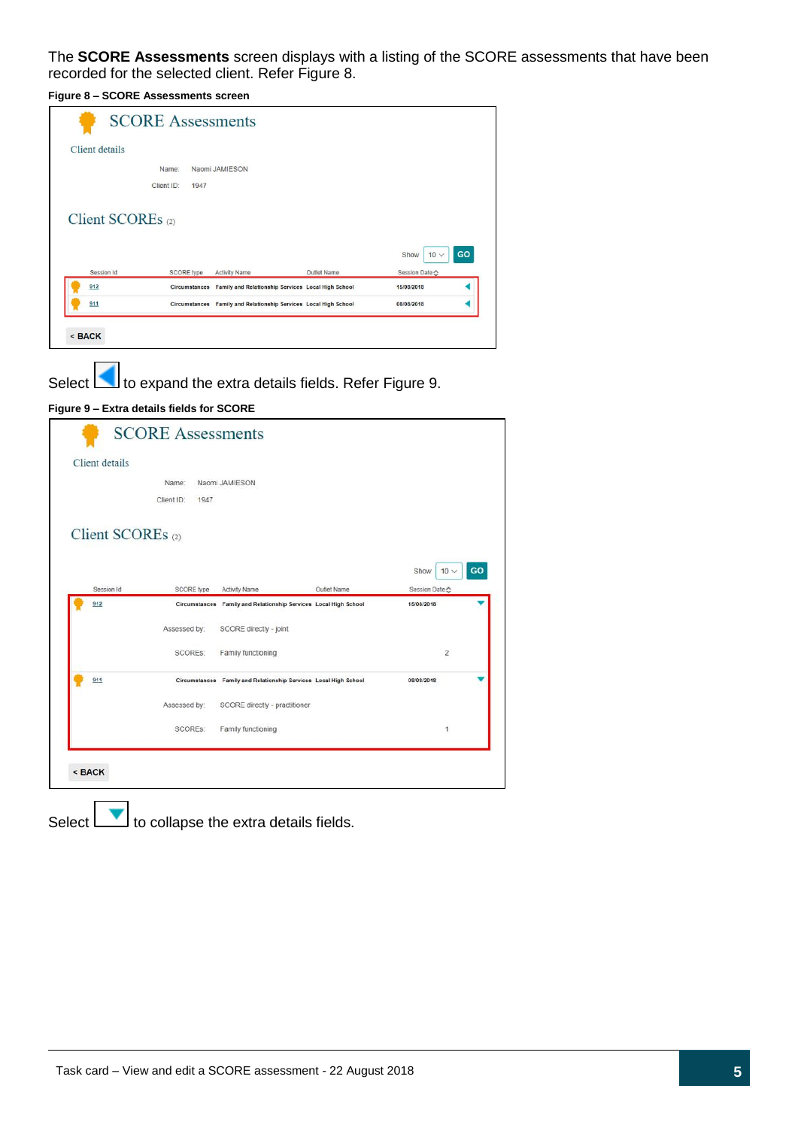The **SCORE Assessments** screen displays with a listing of the SCORE assessments that have been recorded for the selected client. Refer Figure 8.

**Figure 8 – SCORE Assessments screen**

| Client details |                   |                   |      |                      |                                                                  |                                     |    |
|----------------|-------------------|-------------------|------|----------------------|------------------------------------------------------------------|-------------------------------------|----|
|                |                   | Name:             |      | Naomi JAMIESON       |                                                                  |                                     |    |
|                |                   | Client ID:        | 1947 |                      |                                                                  |                                     |    |
|                | Client SCOREs (2) |                   |      |                      |                                                                  |                                     |    |
|                | Session Id        | <b>SCORE</b> type |      | <b>Activity Name</b> | <b>Outlet Name</b>                                               | Show<br>$10 \vee$<br>Session Date ☆ | GO |
| 912            |                   |                   |      |                      | Circumstances Family and Relationship Services Local High School | 15/08/2018                          |    |

Select to expand the extra details fields. Refer Figure 9.

#### **Figure 9 – Extra details fields for SCORE**



Select  $\boxed{\phantom{a}}$  to collapse the extra details fields.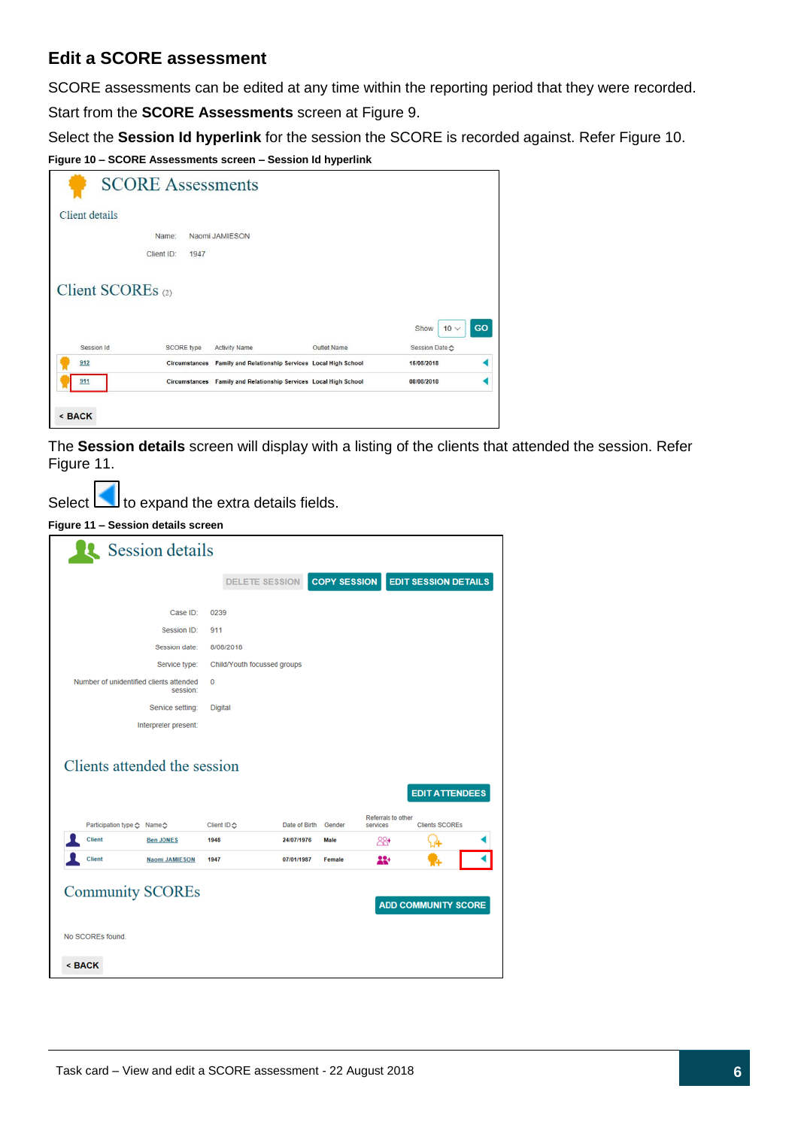## <span id="page-5-0"></span>**Edit a SCORE assessment**

SCORE assessments can be edited at any time within the reporting period that they were recorded.

Start from the **SCORE Assessments** screen at Figure 9.

Select the **Session Id hyperlink** for the session the SCORE is recorded against. Refer Figure 10.

**Figure 10 – SCORE Assessments screen – Session Id hyperlink**

|                   | <b>SCORE Assessments</b> |                      |                                                    |                                     |    |
|-------------------|--------------------------|----------------------|----------------------------------------------------|-------------------------------------|----|
| Client details    |                          |                      |                                                    |                                     |    |
|                   | Name:                    | Naomi JAMIESON       |                                                    |                                     |    |
|                   | Client ID:<br>1947       |                      |                                                    |                                     |    |
| Client SCOREs (2) |                          |                      |                                                    |                                     |    |
| Session Id        | <b>SCORE</b> type        | <b>Activity Name</b> | Outlet Name                                        | Show<br>$10 \vee$<br>Session Date ☆ | GO |
| 912               | <b>Circumstances</b>     |                      | Family and Relationship Services Local High School | 15/08/2018                          |    |

The **Session details** screen will display with a listing of the clients that attended the session. Refer Figure 11.

Select  $\Box$  to expand the extra details fields.

**Figure 11 – Session details screen**

|                                             | Session details       |                             |                             |        |                                |                                                |  |
|---------------------------------------------|-----------------------|-----------------------------|-----------------------------|--------|--------------------------------|------------------------------------------------|--|
|                                             |                       |                             | DELETE SESSION COPY SESSION |        |                                | <b>EDIT SESSION DETAILS</b>                    |  |
|                                             | Case ID:              | 0239                        |                             |        |                                |                                                |  |
|                                             | Session ID:           | 911                         |                             |        |                                |                                                |  |
|                                             | Session date:         | 8/08/2018                   |                             |        |                                |                                                |  |
|                                             | Service type:         | Child/Youth focussed groups |                             |        |                                |                                                |  |
| Number of unidentified clients attended     | session:              | 0                           |                             |        |                                |                                                |  |
|                                             | Service setting:      | Digital                     |                             |        |                                |                                                |  |
|                                             |                       |                             |                             |        |                                |                                                |  |
|                                             | Interpreter present:  |                             |                             |        |                                |                                                |  |
| Participation type <> Name <> $\bigcirc$    |                       | Client ID &                 | Date of Birth               | Gender | Referrals to other<br>services | <b>EDIT ATTENDEES</b><br><b>Clients SCOREs</b> |  |
| Client                                      | <b>Ben JONES</b>      | 1948                        | 24/07/1976                  | Male   | 88+                            |                                                |  |
| Clients attended the session<br>Client      | <b>Naomi JAMIESON</b> | 1947                        | 07/01/1987                  | Female | 22+                            |                                                |  |
| <b>Community SCOREs</b><br>No SCOREs found. |                       |                             |                             |        |                                | <b>ADD COMMUNITY SCORE</b>                     |  |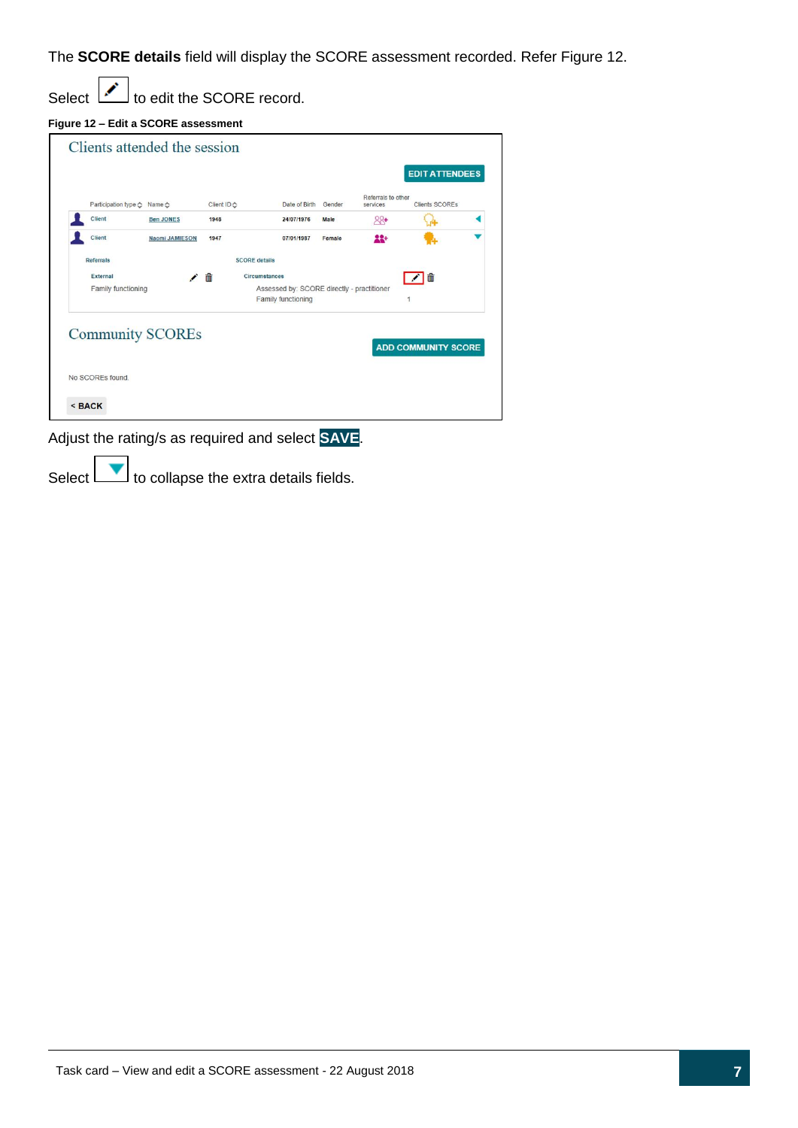The **SCORE details** field will display the SCORE assessment recorded. Refer Figure 12.

Select  $\boxed{\cdot}$  to edit the SCORE record.

|  |  | Figure 12 - Edit a SCORE assessment |
|--|--|-------------------------------------|

|                                 |                       |             |                      |                                            |        |                                | <b>EDIT ATTENDEES</b> |  |
|---------------------------------|-----------------------|-------------|----------------------|--------------------------------------------|--------|--------------------------------|-----------------------|--|
| Participation type <> Name <> 6 |                       | Client ID ← |                      | Date of Birth                              | Gender | Referrals to other<br>services | <b>Clients SCOREs</b> |  |
| Client                          | <b>Ben JONES</b>      | 1948        |                      | 24/07/1976                                 | Male   | $88 +$                         |                       |  |
| Client                          | <b>Naomi JAMIESON</b> | 1947        |                      | 07/01/1987                                 | Female | 22+                            |                       |  |
| <b>Referrals</b>                |                       |             | <b>SCORE details</b> |                                            |        |                                |                       |  |
|                                 |                       |             |                      |                                            |        |                                |                       |  |
| External                        |                       |             | Circumstances        |                                            |        |                                |                       |  |
| Family functioning              |                       | 侖           |                      | Assessed by: SCORE directly - practitioner |        |                                | 而                     |  |
|                                 |                       |             |                      | Family functioning                         |        |                                |                       |  |

Adjust the rating/s as required and select **SAVE**.

Select  $\boxed{\phantom{1}}$  to collapse the extra details fields.